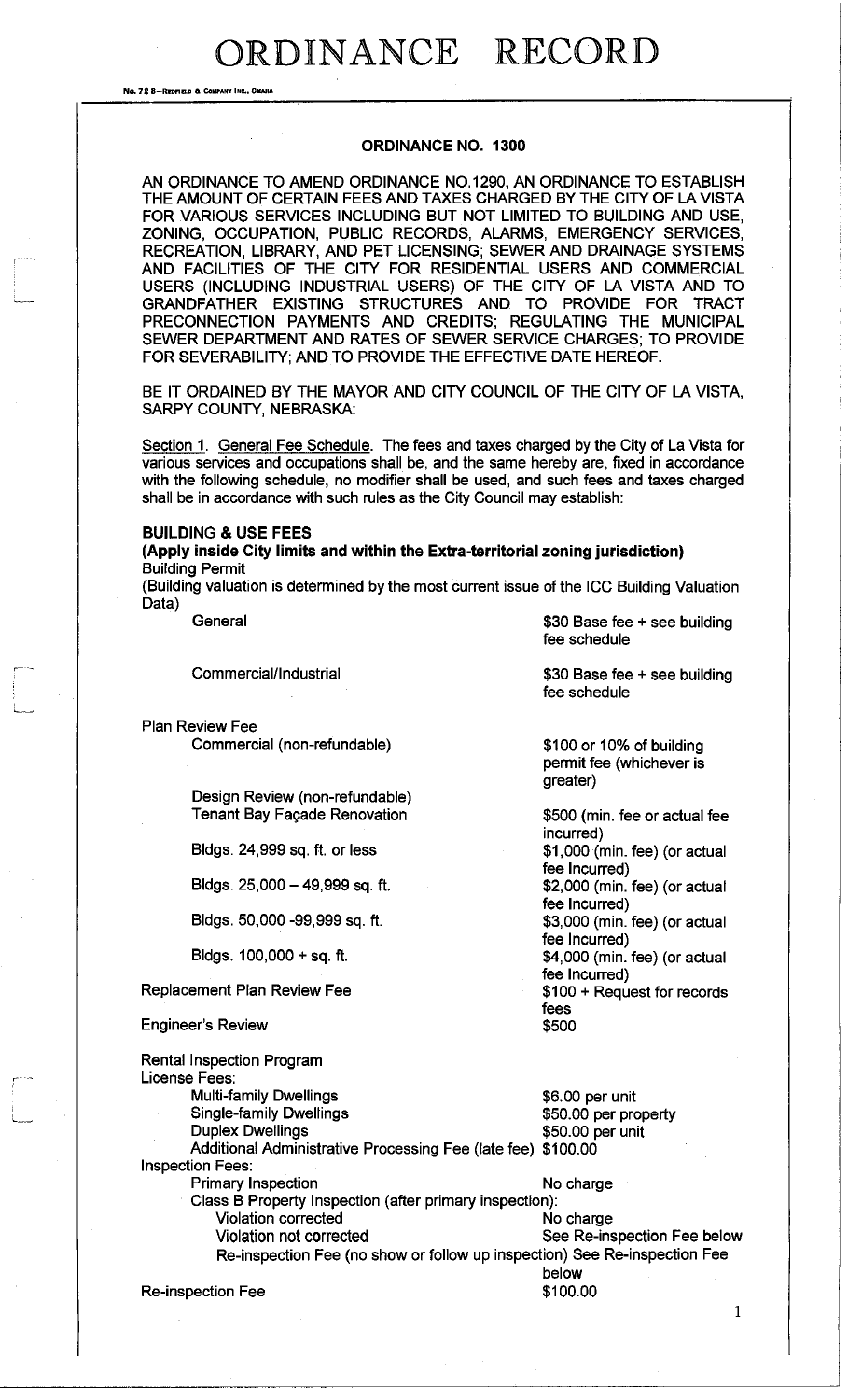No. 72 8-REDFIELD & COMPANY INC., OMAH

#### **ORDINANCE NO. 1300**

AN ORDINANCE TO AMEND ORDINANCE NO. 1290, AN ORDINANCE TO ESTABLISH THE AMOUNT OF CERTAIN FEES AND TAXES CHARGED BY THE CITY OF LA VISTA FOR VARIOUS SERVICES INCLUDING BUT NOT LIMITED TO BUILDING AND USE, ZONING, OCCUPATION, PUBLIC RECORDS, ALARMS, EMERGENCY SERVICES, RECREATION, LIBRARY, AND PET LICENSING; SEWER AND DRAINAGE SYSTEMS AND FACILITIES OF THE CITY FOR RESIDENTIAL USERS AND COMMERCIAL USERS (INCLUDING INDUSTRIAL USERS) OF THE CITY OF LA VISTA AND TO GRANDFATHER EXISTING STRUCTURES AND TO PROVIDE FOR TRACT PRECONNECTION PAYMENTS AND CREDITS; REGULATING THE MUNICIPAL SEWER DEPARTMENT AND RATES OF SEWER SERVICE CHARGES; TO PROVIDE FOR SEVERABILITY; AND TO PROVIDE THE EFFECTIVE DATE HEREOF.

BE IT ORDAINED BY THE MAYOR AND CITY COUNCIL OF THE CITY OF LA VISTA, SARPY COUNTY, NEBRASKA:

Section 1. General Fee Schedule. The fees and taxes charged by the City of La Vista for various services and occupations shall be, and the same hereby are, fixed in accordance with the following schedule, no modifier shall be used, and such fees and taxes charged shall be in accordance with such rules as the City Council may establish:

### **BUILDING & USE FEES**

**(Apply inside City limits and within the Extra-territorial zoning jurisdiction)**  Building Permit

(Building valuation is determined by the most current issue of the ICC Building Valuation Data)

**General** 

Commercial/Industrial

Plan Review Fee Commercial (non-refundable)

> Design Review (non-refundable) Tenant Bay Fagade Renovation

Bldgs. 24,999 sq. ft. or less

Bldgs. 25,000-49,999 sq. ft.

Bldgs. 50,000 -99,999 sq. ft.

Bldgs. 100,000 + sq. ft.

Replacement Plan Review Fee

Engineer's Review

Rental Inspection Program License Fees: Multi-family Dwellings Single-family Dwellings Duplex Dwellings \$6.00 per unit \$50.00 per property \$50.00 per unit Additional Administrative Processing Fee (late fee) \$100.00 Inspection Fees: Primary Inspection No charge Class B Property Inspection (after primary inspection): Violation corrected No charge Violation not corrected See Re-inspection Fee below Re-inspection Fee (no show or follow up inspection) See Re-inspection Fee below<br>\$100.00 Re-inspection Fee

\$30 Base fee + see building fee schedule

\$30 Base fee + see building fee schedule

\$100 or 10% of building permit fee (whichever is greater)

\$500 (min. fee or actual fee incurred) \$1,000 (min. fee) (or actual fee Incurred) \$2,000 (min. fee) (or actual fee Incurred) \$3,000 (min. fee) (or actual fee Incurred) \$4,000 (min. fee) (or actual fee Incurred) \$100 + Request for records fees \$500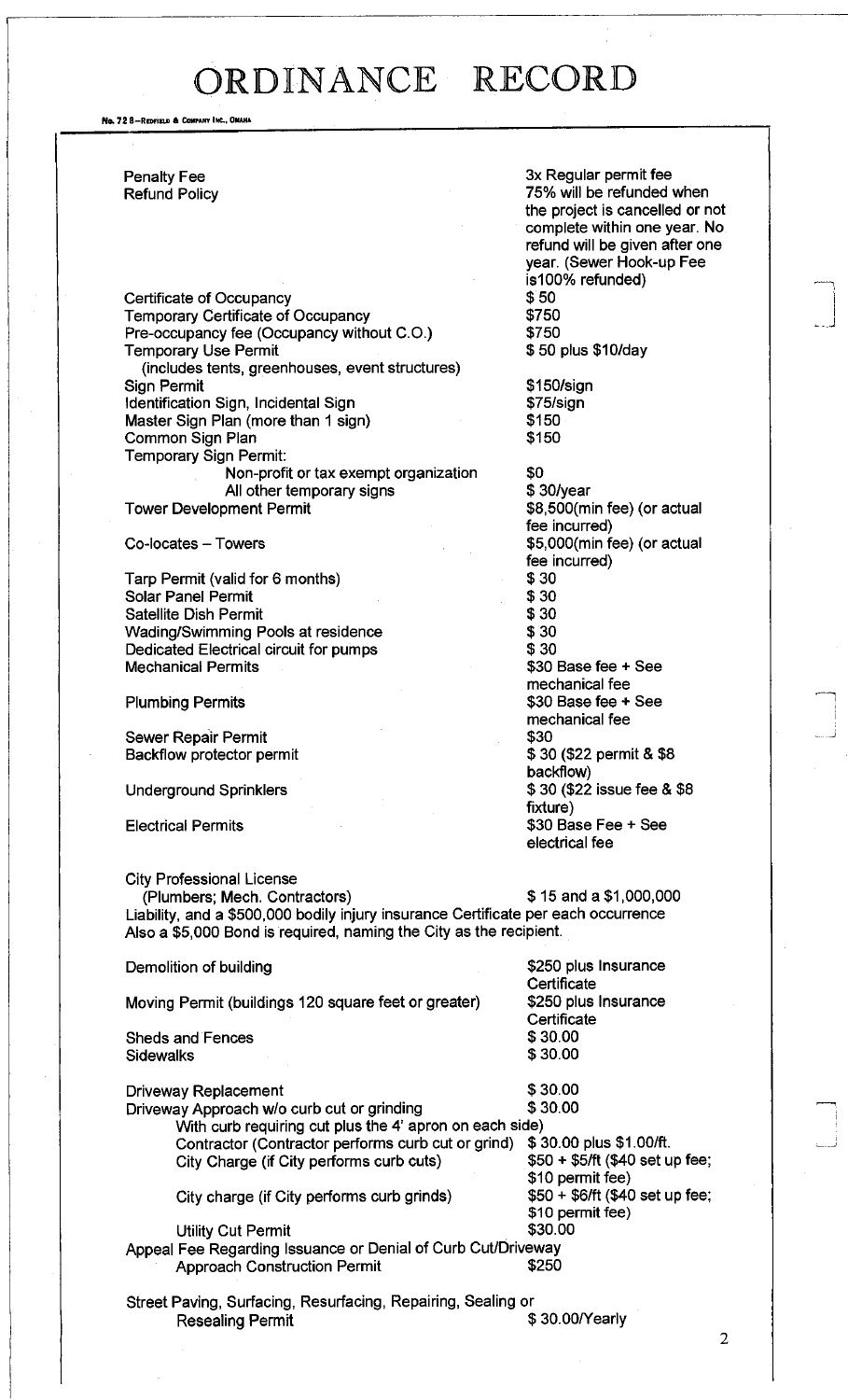No. 72 8-REDFIELD & COMPANY INC., OMAHA

Penalty Fee Refund Policy

Certificate of Occupancy Temporary Certificate of Occupancy Pre-occupancy fee (Occupancy without C.O.) Temporary Use Permit (includes tents, greenhouses, event structures) Sign Permit Identification Sign, Incidental Sign Master Sign Plan (more than 1 sign) Common Sign Plan Temporary Sign Permit: Non-profit or tax exempt organization All other temporary signs

Tower Development Permit

Co-locates - Towers

Tarp Permit (valid for 6 months) Solar Panel Permit Satellite Dish Permit Wading/Swimming Pools at residence Dedicated Electrical circuit for pumps Mechanical Permits

Plumbing Permits

Sewer Repair Permit Backflow protector permit

Underground Sprinklers

City Professional License

Electrical Permits

#### 3x Regular permit fee 75% will be refunded when the project is cancelled or not complete within one year. No refund will be given after one year. (Sewer Hook-up Fee is100% refunded) \$50 \$750 \$750 \$ 50 plus \$10/day

\$150/sign \$75/sign \$150 \$150

\$0 \$ 30/year \$8,500(min fee) (or actual fee incurred) \$5,000(min fee) (or actual fee incurred) \$30 \$30 \$30 \$30 \$30 \$30 Base fee + See mechanical fee \$30 Base fee + See mechanical fee \$30 \$ 30 (\$22 permit & \$8 backflow) \$ 30 (\$22 issue fee & \$8 fixture) \$30 Base Fee + See electrical fee

(Plumbers; Mech. Contractors) \$ 15 and a \$1,000,000 Liability, and a \$500,000 bodily injury insurance Certificate per each occurrence Also a \$5,000 Bond is required, naming the City as the recipient.

Demolition of building the state of the state of the state of the state of the state of the state of the state of the state of the state of the state of the state of the state of the state of the state of the state of the **Certificate** Moving Permit (buildings 120 square feet or greater) \$250 plus Insurance **Certificate** Sheds and Fences \$ 30.00<br>Sidewalks \$ 30.00 **Sidewalks** Driveway Replacement \$ 30.00 Driveway Approach w/o curb cut or grinding \$30.00 With curb requiring cut plus the 4' apron on each side) Contractor (Contractor performs curb cut or grind) \$30.00 plus \$1.00/ft.<br>City Charge (if City performs curb cuts) \$50 + \$5/ft (\$40 set up fee; City Charge (if City performs curb cuts) \$10 permit fee) City charge (if City performs curb grinds) \$50 + \$6/ft (\$40 set up fee; \$10 permit fee) Utility Cut Permit \$30.00 Appeal Fee Regarding Issuance or Denial of Curb Cut/Driveway Approach Construction Permit  $$250$ 

Street Paving, Surfacing, Resurfacing, Repairing, Sealing or Resealing Permit  $$ 30.00$ /Yearly

 $\overline{2}$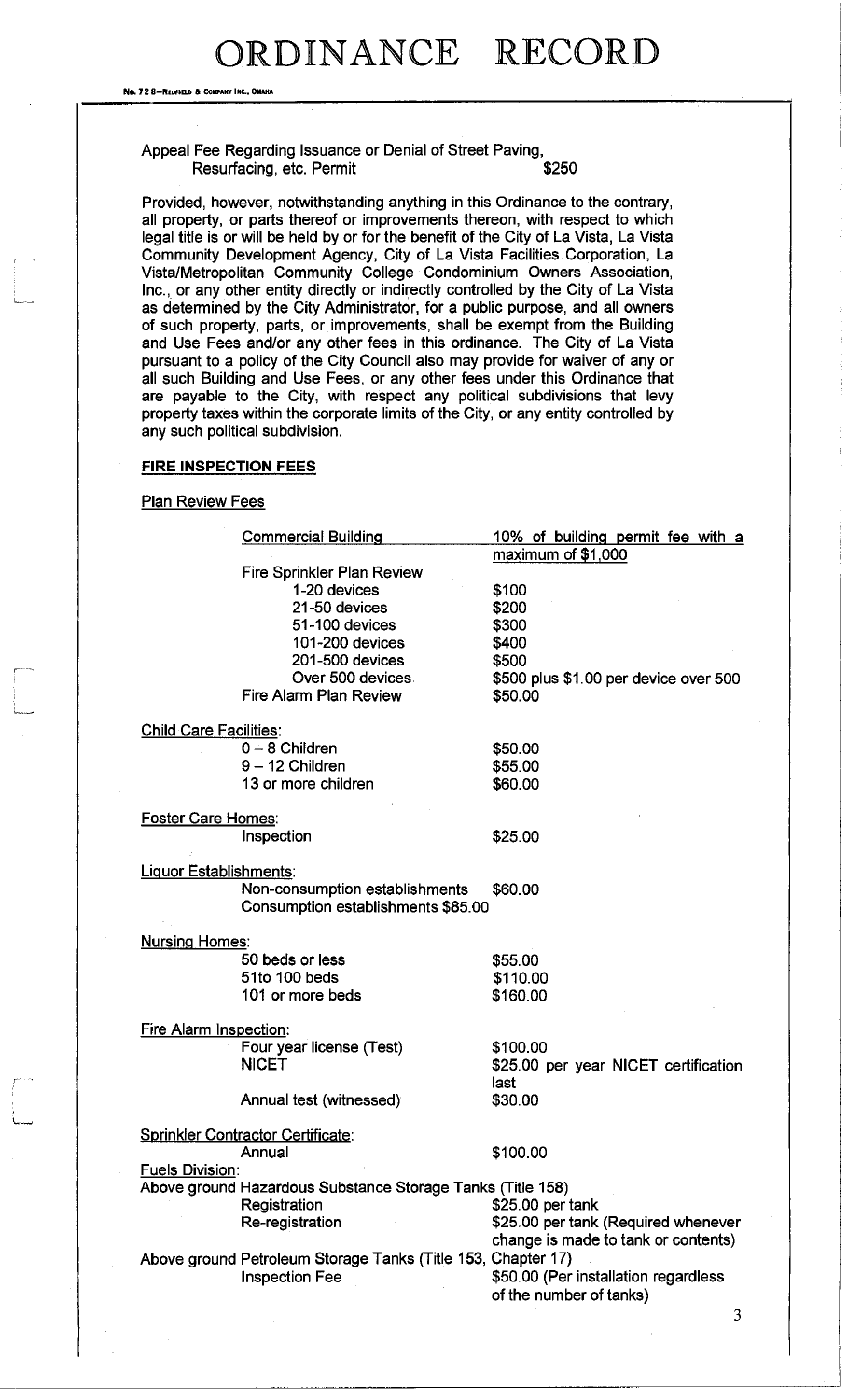Ne. 72 8-REDFIELD & COMPANY INC., OMAHA

### Appeal Fee Regarding Issuance or Denial of Street Paving, Resurfacing, etc. Permit  $$250$

Provided, however, notwithstanding anything in this Ordinance to the contrary, all property, or parts thereof or improvements thereon, with respect to which legal title is or will be held by or for the benefit of the City of La Vista, La Vista Community Development Agency, City of La Vista Facilities Corporation, La Vista/Metropolitan Community College Condominium Owners Association, Inc., or any other entity directly or indirectly controlled by the City of La Vista as determined by the City Administrator, for a public purpose, and all owners of such property, parts, or improvements, shall be exempt from the Building and Use Fees and/or any other fees in this ordinance. The City of La Vista pursuant to a policy of the City Council also may provide for waiver of any or all such Building and Use Fees, or any other fees under this Ordinance that are payable to the City, with respect any political subdivisions that levy property taxes within the corporate limits of the City, or any entity controlled by any such political subdivision.

#### FIRE INSPECTION FEES

### **Plan Review Fees**

| maximum of $$1,000$<br>Fire Sprinkler Plan Review<br>1-20 devices<br>\$100<br>21-50 devices<br>\$200<br>51-100 devices<br>\$300<br>101-200 devices<br>\$400<br>\$500<br>201-500 devices<br>Over 500 devices.<br>\$500 plus \$1.00 per device over 500<br>Fire Alarm Plan Review<br>\$50.00<br><b>Child Care Facilities:</b><br>$0 - 8$ Children<br>\$50.00<br>$9 - 12$ Children<br>\$55.00<br>13 or more children<br>\$60.00<br><b>Foster Care Homes:</b><br>Inspection<br>\$25.00<br>Liquor Establishments:<br>Non-consumption establishments<br>\$60.00<br>Consumption establishments \$85.00<br><b>Nursing Homes:</b><br>50 beds or less<br>\$55.00<br>51to 100 beds<br>\$110.00<br>101 or more beds<br>\$160.00<br><b>Fire Alarm Inspection:</b><br>Four year license (Test)<br>\$100.00<br><b>NICET</b><br>\$25.00 per year NICET certification<br>last<br>Annual test (witnessed)<br>\$30.00<br>Sprinkler Contractor Certificate:<br>\$100.00<br>Annual |
|---------------------------------------------------------------------------------------------------------------------------------------------------------------------------------------------------------------------------------------------------------------------------------------------------------------------------------------------------------------------------------------------------------------------------------------------------------------------------------------------------------------------------------------------------------------------------------------------------------------------------------------------------------------------------------------------------------------------------------------------------------------------------------------------------------------------------------------------------------------------------------------------------------------------------------------------------------------|
|                                                                                                                                                                                                                                                                                                                                                                                                                                                                                                                                                                                                                                                                                                                                                                                                                                                                                                                                                               |
|                                                                                                                                                                                                                                                                                                                                                                                                                                                                                                                                                                                                                                                                                                                                                                                                                                                                                                                                                               |
|                                                                                                                                                                                                                                                                                                                                                                                                                                                                                                                                                                                                                                                                                                                                                                                                                                                                                                                                                               |
|                                                                                                                                                                                                                                                                                                                                                                                                                                                                                                                                                                                                                                                                                                                                                                                                                                                                                                                                                               |
|                                                                                                                                                                                                                                                                                                                                                                                                                                                                                                                                                                                                                                                                                                                                                                                                                                                                                                                                                               |
|                                                                                                                                                                                                                                                                                                                                                                                                                                                                                                                                                                                                                                                                                                                                                                                                                                                                                                                                                               |
|                                                                                                                                                                                                                                                                                                                                                                                                                                                                                                                                                                                                                                                                                                                                                                                                                                                                                                                                                               |
|                                                                                                                                                                                                                                                                                                                                                                                                                                                                                                                                                                                                                                                                                                                                                                                                                                                                                                                                                               |
|                                                                                                                                                                                                                                                                                                                                                                                                                                                                                                                                                                                                                                                                                                                                                                                                                                                                                                                                                               |
|                                                                                                                                                                                                                                                                                                                                                                                                                                                                                                                                                                                                                                                                                                                                                                                                                                                                                                                                                               |
|                                                                                                                                                                                                                                                                                                                                                                                                                                                                                                                                                                                                                                                                                                                                                                                                                                                                                                                                                               |
|                                                                                                                                                                                                                                                                                                                                                                                                                                                                                                                                                                                                                                                                                                                                                                                                                                                                                                                                                               |
|                                                                                                                                                                                                                                                                                                                                                                                                                                                                                                                                                                                                                                                                                                                                                                                                                                                                                                                                                               |
|                                                                                                                                                                                                                                                                                                                                                                                                                                                                                                                                                                                                                                                                                                                                                                                                                                                                                                                                                               |
|                                                                                                                                                                                                                                                                                                                                                                                                                                                                                                                                                                                                                                                                                                                                                                                                                                                                                                                                                               |
|                                                                                                                                                                                                                                                                                                                                                                                                                                                                                                                                                                                                                                                                                                                                                                                                                                                                                                                                                               |
|                                                                                                                                                                                                                                                                                                                                                                                                                                                                                                                                                                                                                                                                                                                                                                                                                                                                                                                                                               |
|                                                                                                                                                                                                                                                                                                                                                                                                                                                                                                                                                                                                                                                                                                                                                                                                                                                                                                                                                               |
|                                                                                                                                                                                                                                                                                                                                                                                                                                                                                                                                                                                                                                                                                                                                                                                                                                                                                                                                                               |
|                                                                                                                                                                                                                                                                                                                                                                                                                                                                                                                                                                                                                                                                                                                                                                                                                                                                                                                                                               |
|                                                                                                                                                                                                                                                                                                                                                                                                                                                                                                                                                                                                                                                                                                                                                                                                                                                                                                                                                               |
|                                                                                                                                                                                                                                                                                                                                                                                                                                                                                                                                                                                                                                                                                                                                                                                                                                                                                                                                                               |
|                                                                                                                                                                                                                                                                                                                                                                                                                                                                                                                                                                                                                                                                                                                                                                                                                                                                                                                                                               |
|                                                                                                                                                                                                                                                                                                                                                                                                                                                                                                                                                                                                                                                                                                                                                                                                                                                                                                                                                               |
|                                                                                                                                                                                                                                                                                                                                                                                                                                                                                                                                                                                                                                                                                                                                                                                                                                                                                                                                                               |
|                                                                                                                                                                                                                                                                                                                                                                                                                                                                                                                                                                                                                                                                                                                                                                                                                                                                                                                                                               |
|                                                                                                                                                                                                                                                                                                                                                                                                                                                                                                                                                                                                                                                                                                                                                                                                                                                                                                                                                               |
|                                                                                                                                                                                                                                                                                                                                                                                                                                                                                                                                                                                                                                                                                                                                                                                                                                                                                                                                                               |
|                                                                                                                                                                                                                                                                                                                                                                                                                                                                                                                                                                                                                                                                                                                                                                                                                                                                                                                                                               |
|                                                                                                                                                                                                                                                                                                                                                                                                                                                                                                                                                                                                                                                                                                                                                                                                                                                                                                                                                               |
|                                                                                                                                                                                                                                                                                                                                                                                                                                                                                                                                                                                                                                                                                                                                                                                                                                                                                                                                                               |
|                                                                                                                                                                                                                                                                                                                                                                                                                                                                                                                                                                                                                                                                                                                                                                                                                                                                                                                                                               |
|                                                                                                                                                                                                                                                                                                                                                                                                                                                                                                                                                                                                                                                                                                                                                                                                                                                                                                                                                               |
|                                                                                                                                                                                                                                                                                                                                                                                                                                                                                                                                                                                                                                                                                                                                                                                                                                                                                                                                                               |
|                                                                                                                                                                                                                                                                                                                                                                                                                                                                                                                                                                                                                                                                                                                                                                                                                                                                                                                                                               |
| <b>Fuels Division:</b>                                                                                                                                                                                                                                                                                                                                                                                                                                                                                                                                                                                                                                                                                                                                                                                                                                                                                                                                        |
| Above ground Hazardous Substance Storage Tanks (Title 158)                                                                                                                                                                                                                                                                                                                                                                                                                                                                                                                                                                                                                                                                                                                                                                                                                                                                                                    |
| Registration<br>\$25.00 per tank                                                                                                                                                                                                                                                                                                                                                                                                                                                                                                                                                                                                                                                                                                                                                                                                                                                                                                                              |
| Re-registration<br>\$25.00 per tank (Required whenever                                                                                                                                                                                                                                                                                                                                                                                                                                                                                                                                                                                                                                                                                                                                                                                                                                                                                                        |
| change is made to tank or contents)                                                                                                                                                                                                                                                                                                                                                                                                                                                                                                                                                                                                                                                                                                                                                                                                                                                                                                                           |
| Above ground Petroleum Storage Tanks (Title 153, Chapter 17)                                                                                                                                                                                                                                                                                                                                                                                                                                                                                                                                                                                                                                                                                                                                                                                                                                                                                                  |
|                                                                                                                                                                                                                                                                                                                                                                                                                                                                                                                                                                                                                                                                                                                                                                                                                                                                                                                                                               |
| \$50.00 (Per installation regardless<br><b>Inspection Fee</b>                                                                                                                                                                                                                                                                                                                                                                                                                                                                                                                                                                                                                                                                                                                                                                                                                                                                                                 |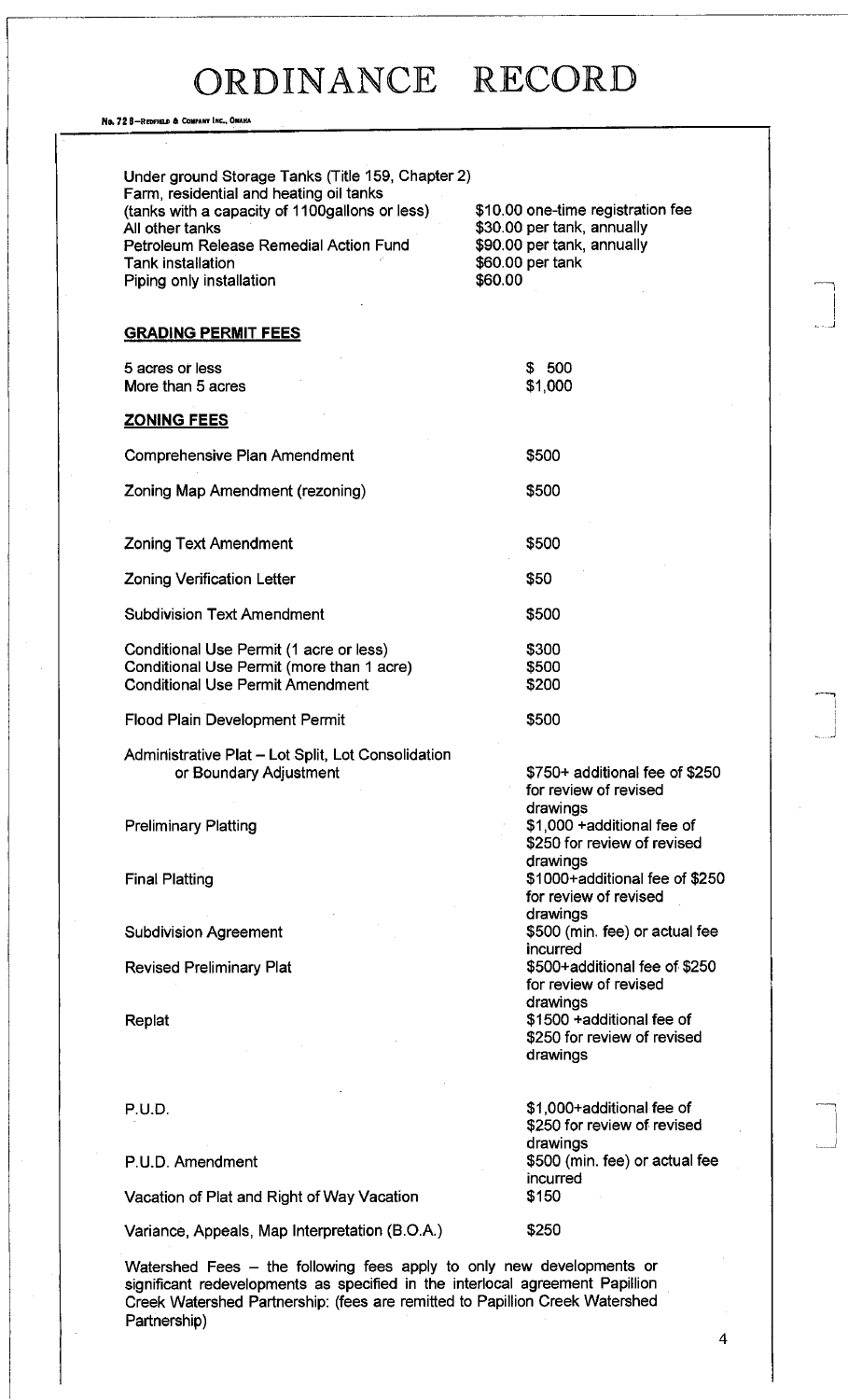No. 72 B-REDFIELD & COMPANY INC., OMAHA

Partnership)

| Farm, residential and heating oil tanks<br>(tanks with a capacity of 1100gallons or less)<br>All other tanks<br>Petroleum Release Remedial Action Fund<br>Tank installation<br>Piping only installation | \$10.00 one-time registration fee<br>\$30.00 per tank, annually<br>\$90.00 per tank, annually<br>\$60.00 per tank<br>\$60.00 |
|---------------------------------------------------------------------------------------------------------------------------------------------------------------------------------------------------------|------------------------------------------------------------------------------------------------------------------------------|
| <b>GRADING PERMIT FEES</b>                                                                                                                                                                              |                                                                                                                              |
| 5 acres or less<br>More than 5 acres                                                                                                                                                                    | \$ 500<br>\$1,000                                                                                                            |
| <b>ZONING FEES</b>                                                                                                                                                                                      |                                                                                                                              |
| Comprehensive Plan Amendment                                                                                                                                                                            | \$500                                                                                                                        |
| Zoning Map Amendment (rezoning)                                                                                                                                                                         | \$500                                                                                                                        |
| <b>Zoning Text Amendment</b>                                                                                                                                                                            | \$500                                                                                                                        |
| <b>Zoning Verification Letter</b>                                                                                                                                                                       | \$50                                                                                                                         |
| <b>Subdivision Text Amendment</b>                                                                                                                                                                       | \$500                                                                                                                        |
| Conditional Use Permit (1 acre or less)<br>Conditional Use Permit (more than 1 acre)<br><b>Conditional Use Permit Amendment</b>                                                                         | \$300<br>\$500<br>\$200                                                                                                      |
| <b>Flood Plain Development Permit</b>                                                                                                                                                                   | \$500                                                                                                                        |
| Administrative Plat - Lot Split, Lot Consolidation<br>or Boundary Adjustment                                                                                                                            | \$750+ additional fee of \$250<br>for review of revised                                                                      |
| <b>Preliminary Platting</b>                                                                                                                                                                             | drawings<br>\$1,000 + additional fee of<br>\$250 for review of revised<br>drawings                                           |
| <b>Final Platting</b>                                                                                                                                                                                   | \$1000+additional fee of \$250<br>for review of revised<br>drawings                                                          |
| <b>Subdivision Agreement</b>                                                                                                                                                                            | \$500 (min. fee) or actual fee<br>incurred                                                                                   |
| <b>Revised Preliminary Plat</b>                                                                                                                                                                         | \$500+additional fee of \$250<br>for review of revised                                                                       |
| Replat                                                                                                                                                                                                  | drawings<br>\$1500 +additional fee of<br>\$250 for review of revised<br>drawings                                             |
| <b>P.U.D.</b>                                                                                                                                                                                           | \$1,000+additional fee of<br>\$250 for review of revised                                                                     |
| P.U.D. Amendment                                                                                                                                                                                        | drawings<br>\$500 (min. fee) or actual fee<br>incurred                                                                       |
| Vacation of Plat and Right of Way Vacation                                                                                                                                                              | \$150                                                                                                                        |
| Variance, Appeals, Map Interpretation (B.O.A.)                                                                                                                                                          | \$250                                                                                                                        |

 $\overline{\mathbf{4}}$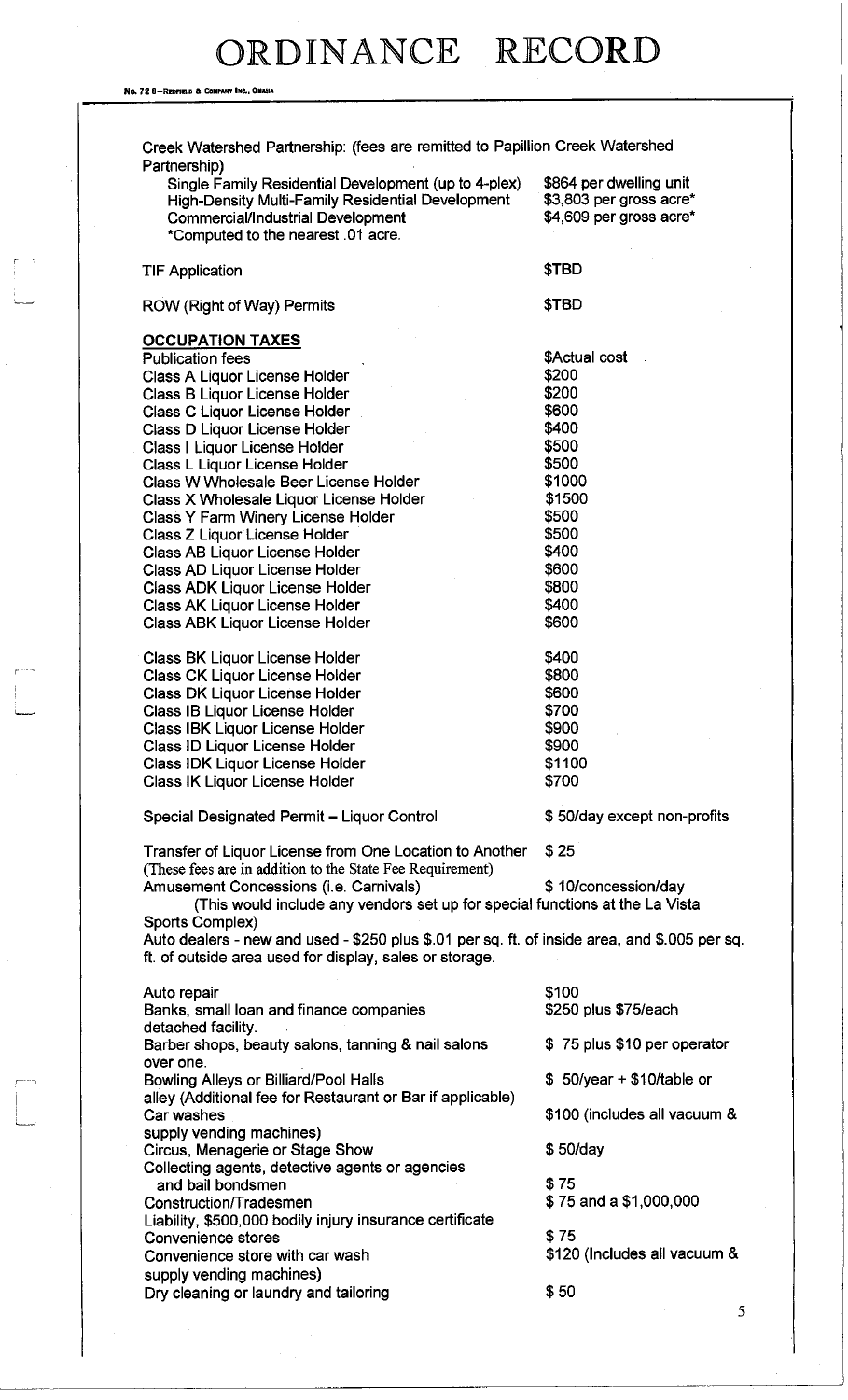No. 72 8-REDFIELD & COMPANY INC., OMAHA

 $\begin{bmatrix} 1 & 1 \\ 1 & 1 \end{bmatrix}$ 

| Single Family Residential Development (up to 4-plex)<br>High-Density Multi-Family Residential Development<br><b>Commercial/Industrial Development</b><br>*Computed to the nearest .01 acre. | \$864 per dwelling unit<br>\$3,803 per gross acre*<br>\$4,609 per gross acre* |
|---------------------------------------------------------------------------------------------------------------------------------------------------------------------------------------------|-------------------------------------------------------------------------------|
| <b>TIF Application</b>                                                                                                                                                                      | \$TBD                                                                         |
| ROW (Right of Way) Permits                                                                                                                                                                  | \$TBD                                                                         |
| <b>OCCUPATION TAXES</b>                                                                                                                                                                     |                                                                               |
| <b>Publication fees</b>                                                                                                                                                                     | \$Actual cost                                                                 |
| Class A Liquor License Holder                                                                                                                                                               | \$200                                                                         |
| Class B Liquor License Holder                                                                                                                                                               | \$200                                                                         |
| Class C Liquor License Holder                                                                                                                                                               | \$600                                                                         |
| Class D Liquor License Holder                                                                                                                                                               | \$400                                                                         |
| Class I Liquor License Holder                                                                                                                                                               | \$500                                                                         |
| Class L Liquor License Holder                                                                                                                                                               | \$500                                                                         |
| Class W Wholesale Beer License Holder                                                                                                                                                       | \$1000                                                                        |
| Class X Wholesale Liquor License Holder                                                                                                                                                     | \$1500                                                                        |
| Class Y Farm Winery License Holder                                                                                                                                                          | \$500                                                                         |
| Class Z Liquor License Holder                                                                                                                                                               | \$500<br>\$400                                                                |
| Class AB Liquor License Holder                                                                                                                                                              | \$600                                                                         |
| Class AD Liquor License Holder                                                                                                                                                              | \$800                                                                         |
| <b>Class ADK Liquor License Holder</b><br><b>Class AK Liquor License Holder</b>                                                                                                             | \$400                                                                         |
| Class ABK Liquor License Holder                                                                                                                                                             | \$600                                                                         |
| <b>Class BK Liquor License Holder</b>                                                                                                                                                       | \$400                                                                         |
| <b>Class CK Liquor License Holder</b>                                                                                                                                                       | \$800                                                                         |
| <b>Class DK Liquor License Holder</b>                                                                                                                                                       | \$600                                                                         |
| Class IB Liquor License Holder                                                                                                                                                              | \$700                                                                         |
| Class IBK Liquor License Holder                                                                                                                                                             | \$900                                                                         |
| Class ID Liquor License Holder                                                                                                                                                              | \$900                                                                         |
| Class IDK Liquor License Holder                                                                                                                                                             | \$1100                                                                        |
| Class IK Liquor License Holder                                                                                                                                                              | \$700                                                                         |
| Special Designated Permit - Liquor Control                                                                                                                                                  | \$50/day except non-profits                                                   |
| Transfer of Liquor License from One Location to Another<br>(These fees are in addition to the State Fee Requirement)                                                                        | \$25                                                                          |
| Amusement Concessions (i.e. Carnivals)                                                                                                                                                      | \$10/concession/day                                                           |
| (This would include any vendors set up for special functions at the La Vista                                                                                                                |                                                                               |
| Sports Complex)<br>Auto dealers - new and used - \$250 plus \$.01 per sq. ft. of inside area, and \$.005 per sq.                                                                            |                                                                               |
| ft. of outside area used for display, sales or storage.                                                                                                                                     |                                                                               |
| Auto repair                                                                                                                                                                                 | \$100                                                                         |
| Banks, small loan and finance companies                                                                                                                                                     | \$250 plus \$75/each                                                          |
| detached facility.<br>Barber shops, beauty salons, tanning & nail salons                                                                                                                    | \$75 plus \$10 per operator                                                   |
| over one.<br><b>Bowling Alleys or Billiard/Pool Halls</b>                                                                                                                                   | $$50/year + $10/table$ or                                                     |
| alley (Additional fee for Restaurant or Bar if applicable)<br>Car washes                                                                                                                    | \$100 (includes all vacuum &                                                  |
| supply vending machines)<br>Circus, Menagerie or Stage Show                                                                                                                                 | \$50/day                                                                      |
| Collecting agents, detective agents or agencies<br>and bail bondsmen                                                                                                                        | \$75                                                                          |
|                                                                                                                                                                                             | \$75 and a \$1,000,000                                                        |
|                                                                                                                                                                                             |                                                                               |
| Construction/Tradesmen                                                                                                                                                                      |                                                                               |
| Liability, \$500,000 bodily injury insurance certificate                                                                                                                                    |                                                                               |
| Convenience stores                                                                                                                                                                          | \$75                                                                          |
| Convenience store with car wash<br>supply vending machines)                                                                                                                                 | \$120 (Includes all vacuum &                                                  |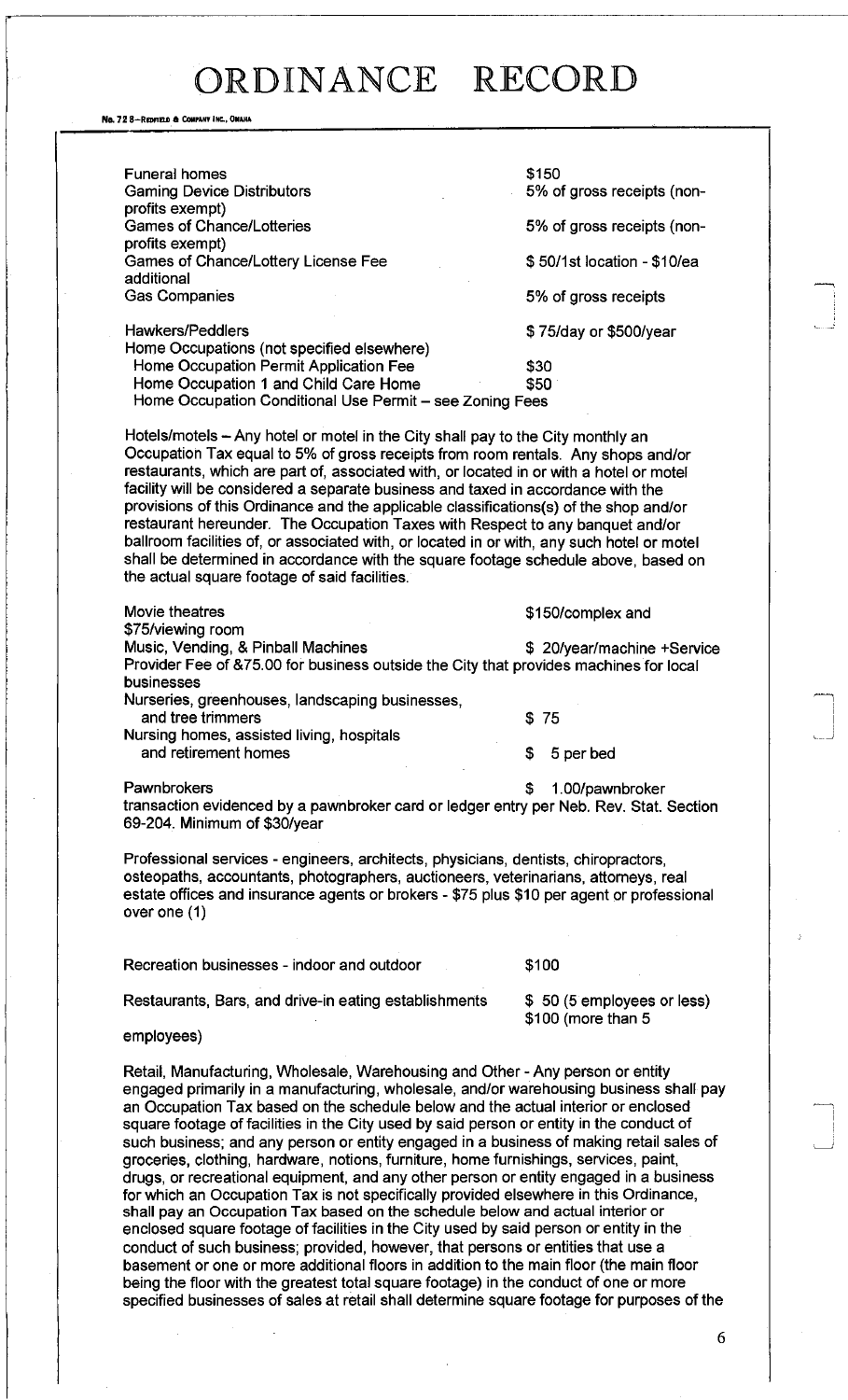No. 72 8-REDFIELD & COMPANY INC., OMAHA

| <b>Funeral homes</b><br><b>Gaming Device Distributors</b><br>profits exempt)                                                                                                                                                                                                                                                                                                                                                                                                                                                                                                                                                                                                                                                                                      | \$150<br>5% of gross receipts (non- |
|-------------------------------------------------------------------------------------------------------------------------------------------------------------------------------------------------------------------------------------------------------------------------------------------------------------------------------------------------------------------------------------------------------------------------------------------------------------------------------------------------------------------------------------------------------------------------------------------------------------------------------------------------------------------------------------------------------------------------------------------------------------------|-------------------------------------|
| <b>Games of Chance/Lotteries</b>                                                                                                                                                                                                                                                                                                                                                                                                                                                                                                                                                                                                                                                                                                                                  | 5% of gross receipts (non-          |
| profits exempt)<br>Games of Chance/Lottery License Fee<br>additional                                                                                                                                                                                                                                                                                                                                                                                                                                                                                                                                                                                                                                                                                              | \$50/1st location - \$10/ea         |
| <b>Gas Companies</b>                                                                                                                                                                                                                                                                                                                                                                                                                                                                                                                                                                                                                                                                                                                                              | 5% of gross receipts                |
| <b>Hawkers/Peddlers</b>                                                                                                                                                                                                                                                                                                                                                                                                                                                                                                                                                                                                                                                                                                                                           | \$75/day or \$500/year              |
| Home Occupations (not specified elsewhere)<br>Home Occupation Permit Application Fee<br>Home Occupation 1 and Child Care Home<br>Home Occupation Conditional Use Permit - see Zoning Fees                                                                                                                                                                                                                                                                                                                                                                                                                                                                                                                                                                         | \$30<br>\$50                        |
| Hotels/motels – Any hotel or motel in the City shall pay to the City monthly an<br>Occupation Tax equal to 5% of gross receipts from room rentals. Any shops and/or<br>restaurants, which are part of, associated with, or located in or with a hotel or motel<br>facility will be considered a separate business and taxed in accordance with the<br>provisions of this Ordinance and the applicable classifications(s) of the shop and/or<br>restaurant hereunder. The Occupation Taxes with Respect to any banquet and/or<br>ballroom facilities of, or associated with, or located in or with, any such hotel or motel<br>shall be determined in accordance with the square footage schedule above, based on<br>the actual square footage of said facilities. |                                     |
| Movie theatres                                                                                                                                                                                                                                                                                                                                                                                                                                                                                                                                                                                                                                                                                                                                                    | \$150/complex and                   |
| \$75/viewing room<br>Music, Vending, & Pinball Machines<br>Provider Fee of &75.00 for business outside the City that provides machines for local<br>businesses                                                                                                                                                                                                                                                                                                                                                                                                                                                                                                                                                                                                    | \$ 20/year/machine +Service         |
| Nurseries, greenhouses, landscaping businesses,                                                                                                                                                                                                                                                                                                                                                                                                                                                                                                                                                                                                                                                                                                                   |                                     |
| and tree trimmers<br>Nursing homes, assisted living, hospitals                                                                                                                                                                                                                                                                                                                                                                                                                                                                                                                                                                                                                                                                                                    | \$75                                |
| and retirement homes                                                                                                                                                                                                                                                                                                                                                                                                                                                                                                                                                                                                                                                                                                                                              | \$<br>5 per bed                     |
| Pawnbrokers<br>transaction evidenced by a pawnbroker card or ledger entry per Neb. Rev. Stat. Section<br>69-204. Minimum of \$30/year                                                                                                                                                                                                                                                                                                                                                                                                                                                                                                                                                                                                                             | 1.00/pawnbroker<br>S                |
| Professional services - engineers, architects, physicians, dentists, chiropractors,<br>osteopaths, accountants, photographers, auctioneers, veterinarians, attorneys, real<br>estate offices and insurance agents or brokers - \$75 plus \$10 per agent or professional<br>over one $(1)$                                                                                                                                                                                                                                                                                                                                                                                                                                                                         |                                     |
| Recreation businesses - indoor and outdoor                                                                                                                                                                                                                                                                                                                                                                                                                                                                                                                                                                                                                                                                                                                        | \$100                               |

Restaurants, Bars, and drive-in eating establishments  $\frac{1}{3}$  50 (5 employees or less)

\$100 (more than 5

employees)

Retail, Manufacturing, Wholesale, Warehousing and Other - Any person or entity engaged primarily in a manufacturing, wholesale, and/or warehousing business shall pay an Occupation Tax based on the schedule below and the actual interior or enclosed square footage of facilities in the City used by said person or entity in the conduct of such business; and any person or entity engaged in a business of making retail sales of groceries, clothing, hardware, notions, furniture, home furnishings, services, paint, drugs, or recreational equipment, and any other person or entity engaged in a business for which an Occupation Tax is not specifically provided elsewhere in this Ordinance, shall pay an Occupation Tax based on the schedule below and actual interior or enclosed square footage of facilities in the City used by said person or entity in the conduct of such business; provided, however, that persons or entities that use a basement or one or more additional floors in addition to the main floor (the main floor being the floor with the greatest total square footage) in the conduct of one or more specified businesses of sales at retail shall determine square footage for purposes of the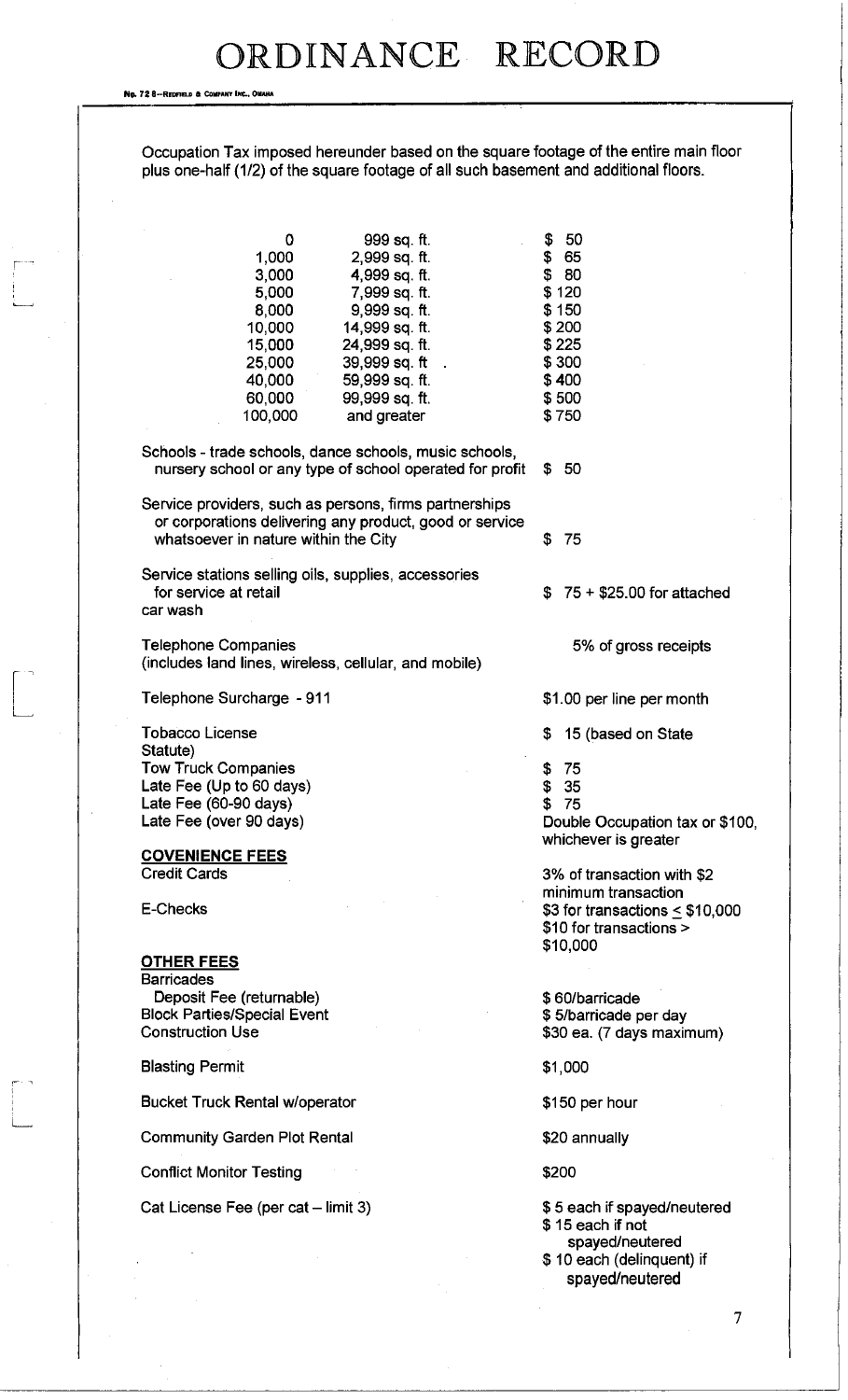No. 72 8-REDFIELD & COMPANY INC., OMAHA

 $\begin{picture}(20,5) \put(0,0){\vector(0,1){100}} \put(15,0){\vector(0,1){100}} \put(15,0){\vector(0,1){100}} \put(15,0){\vector(0,1){100}} \put(15,0){\vector(0,1){100}} \put(15,0){\vector(0,1){100}} \put(15,0){\vector(0,1){100}} \put(15,0){\vector(0,1){100}} \put(15,0){\vector(0,1){100}} \put(15,0){\vector(0,1){100}} \put(15,0){\vector(0,1){100}} \put$ 

 $\begin{bmatrix} 1 & 1 \\ 1 & 1 \end{bmatrix}$ 

Occupation Tax imposed hereunder based on the square footage of the entire main floor plus one-half (1/2) of the square footage of all such basement and additional floors.

| 0<br>1,000<br>3,000<br>5,000<br>8,000<br>10,000<br>15,000<br>25,000<br>40,000<br>60,000<br>100,000                                  | 999 sq. ft.<br>2,999 sq. ft.<br>4,999 sq. ft.<br>7,999 sq. ft.<br>9,999 sq. ft.<br>14,999 sq. ft.<br>24,999 sq. ft.<br>39,999 sq. ft<br>59,999 sq. ft.<br>99,999 sq. ft.<br>and greater |    | \$50<br>\$65<br>\$80<br>\$120<br>\$150<br>\$200<br>\$225<br>\$300<br>\$400<br>\$500<br>\$750                       |
|-------------------------------------------------------------------------------------------------------------------------------------|-----------------------------------------------------------------------------------------------------------------------------------------------------------------------------------------|----|--------------------------------------------------------------------------------------------------------------------|
|                                                                                                                                     | Schools - trade schools, dance schools, music schools,<br>nursery school or any type of school operated for profit                                                                      |    | \$50                                                                                                               |
| Service providers, such as persons, firms partnerships<br>whatsoever in nature within the City                                      | or corporations delivering any product, good or service                                                                                                                                 | \$ | -75                                                                                                                |
| Service stations selling oils, supplies, accessories<br>for service at retail<br>car wash                                           |                                                                                                                                                                                         | S. | $75 + $25.00$ for attached                                                                                         |
| <b>Telephone Companies</b><br>(includes land lines, wireless, cellular, and mobile)                                                 |                                                                                                                                                                                         |    | 5% of gross receipts                                                                                               |
| Telephone Surcharge - 911                                                                                                           |                                                                                                                                                                                         |    | \$1.00 per line per month                                                                                          |
| <b>Tobacco License</b><br>Statute)                                                                                                  |                                                                                                                                                                                         | \$ | 15 (based on State                                                                                                 |
| <b>Tow Truck Companies</b><br>Late Fee (Up to 60 days)<br>Late Fee (60-90 days)<br>Late Fee (over 90 days)                          |                                                                                                                                                                                         | \$ | \$75<br>\$35<br>-75<br>Double Occupation tax or \$100,<br>whichever is greater                                     |
| <b>COVENIENCE FEES</b><br><b>Credit Cards</b>                                                                                       |                                                                                                                                                                                         |    | 3% of transaction with \$2                                                                                         |
| <b>E-Checks</b>                                                                                                                     |                                                                                                                                                                                         |    | minimum transaction<br>\$3 for transactions $\leq$ \$10,000<br>\$10 for transactions ><br>\$10,000                 |
| <b>OTHER FEES</b><br><b>Barricades</b><br>Deposit Fee (returnable)<br><b>Block Parties/Special Event</b><br><b>Construction Use</b> |                                                                                                                                                                                         |    | \$60/barricade<br>\$5/barricade per day<br>\$30 ea. (7 days maximum)                                               |
| <b>Blasting Permit</b>                                                                                                              |                                                                                                                                                                                         |    | \$1,000                                                                                                            |
| <b>Bucket Truck Rental w/operator</b>                                                                                               |                                                                                                                                                                                         |    | \$150 per hour                                                                                                     |
| <b>Community Garden Plot Rental</b>                                                                                                 |                                                                                                                                                                                         |    | \$20 annually                                                                                                      |
| <b>Conflict Monitor Testing</b>                                                                                                     |                                                                                                                                                                                         |    | \$200                                                                                                              |
| Cat License Fee (per cat - limit 3)                                                                                                 |                                                                                                                                                                                         |    | \$5 each if spayed/neutered<br>\$15 each if not<br>spayed/neutered<br>\$10 each (delinquent) if<br>spayed/neutered |
|                                                                                                                                     |                                                                                                                                                                                         |    |                                                                                                                    |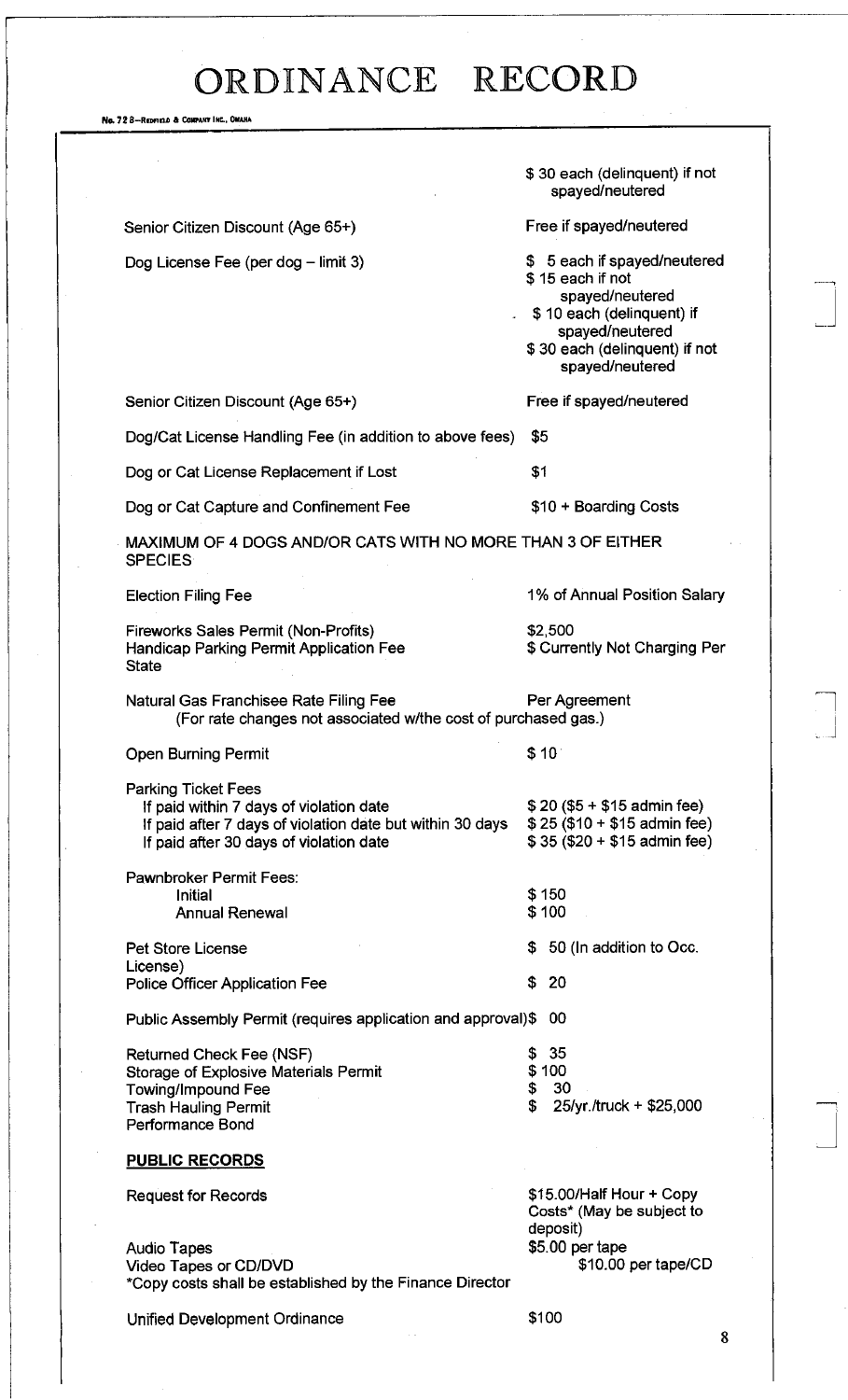No. 72 8-REDFIELD & COMPANY INC., OMAHA

|                                                                                                                                                                               | \$30 each (delinquent) if not<br>spayed/neutered                                                                                                                        |
|-------------------------------------------------------------------------------------------------------------------------------------------------------------------------------|-------------------------------------------------------------------------------------------------------------------------------------------------------------------------|
| Senior Citizen Discount (Age 65+)                                                                                                                                             | Free if spayed/neutered                                                                                                                                                 |
| Dog License Fee (per dog – limit 3)                                                                                                                                           | \$ 5 each if spayed/neutered<br>\$15 each if not<br>spayed/neutered<br>\$10 each (delinquent) if<br>spayed/neutered<br>\$30 each (delinguent) if not<br>spayed/neutered |
| Senior Citizen Discount (Age 65+)                                                                                                                                             | Free if spayed/neutered                                                                                                                                                 |
| Dog/Cat License Handling Fee (in addition to above fees)                                                                                                                      | \$5                                                                                                                                                                     |
| Dog or Cat License Replacement if Lost                                                                                                                                        | \$1                                                                                                                                                                     |
| Dog or Cat Capture and Confinement Fee                                                                                                                                        | \$10 + Boarding Costs                                                                                                                                                   |
| MAXIMUM OF 4 DOGS AND/OR CATS WITH NO MORE THAN 3 OF EITHER<br><b>SPECIES</b>                                                                                                 |                                                                                                                                                                         |
| <b>Election Filing Fee</b>                                                                                                                                                    | 1% of Annual Position Salary                                                                                                                                            |
| Fireworks Sales Permit (Non-Profits)<br>Handicap Parking Permit Application Fee<br><b>State</b>                                                                               | \$2,500<br>\$ Currently Not Charging Per                                                                                                                                |
| Natural Gas Franchisee Rate Filing Fee<br>(For rate changes not associated w/the cost of purchased gas.)                                                                      | Per Agreement                                                                                                                                                           |
| <b>Open Burning Permit</b>                                                                                                                                                    | \$10                                                                                                                                                                    |
| <b>Parking Ticket Fees</b><br>If paid within 7 days of violation date<br>If paid after 7 days of violation date but within 30 days<br>If paid after 30 days of violation date | $$20 ($5 + $15$)$ admin fee)<br>$$25 ($10 + $15$$ admin fee)<br>\$35 (\$20 + \$15 admin fee)                                                                            |
| <b>Pawnbroker Permit Fees:</b>                                                                                                                                                |                                                                                                                                                                         |
| Initial<br><b>Annual Renewal</b>                                                                                                                                              | \$150<br>\$100                                                                                                                                                          |
| <b>Pet Store License</b>                                                                                                                                                      | 50 (In addition to Occ.<br>S.                                                                                                                                           |
| License)<br><b>Police Officer Application Fee</b>                                                                                                                             | S.<br>-20                                                                                                                                                               |
| Public Assembly Permit (requires application and approval)\$                                                                                                                  | 00                                                                                                                                                                      |
| Returned Check Fee (NSF)<br>Storage of Explosive Materials Permit<br><b>Towing/Impound Fee</b><br><b>Trash Hauling Permit</b><br><b>Performance Bond</b>                      | \$35<br>\$100<br>\$<br>30<br>Ś.<br>25/yr./truck + \$25,000                                                                                                              |
| <b>PUBLIC RECORDS</b>                                                                                                                                                         |                                                                                                                                                                         |
| <b>Request for Records</b>                                                                                                                                                    | \$15.00/Half Hour + Copy<br>Costs* (May be subject to<br>deposit)                                                                                                       |
| <b>Audio Tapes</b><br>Video Tapes or CD/DVD<br>*Copy costs shall be established by the Finance Director                                                                       | \$5.00 per tape<br>\$10.00 per tape/CD                                                                                                                                  |
| Unified Development Ordinance                                                                                                                                                 | \$100                                                                                                                                                                   |

 $\bf{8}$ 

 $\begin{array}{c} \begin{array}{c} \begin{array}{c} \end{array} \\ \begin{array}{c} \end{array} \end{array} \end{array}$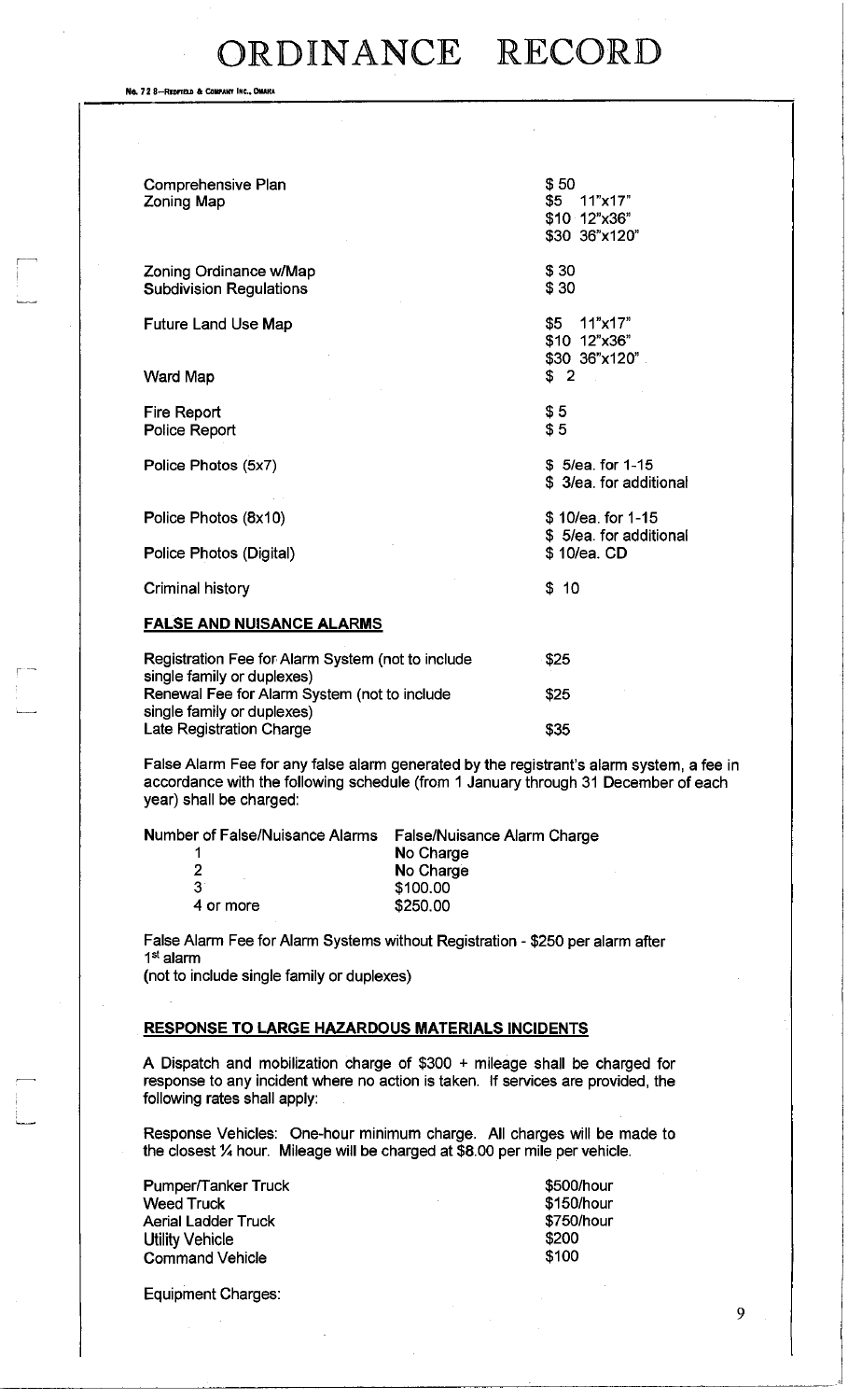No. 72 8-REDFIELD & COMPANY INC., OMAHA

| Comprehensive Plan<br>Zoning Map                                                | \$50<br>\$5<br>11"x17"<br>\$10 12"x36"<br>\$30 36"x120" |
|---------------------------------------------------------------------------------|---------------------------------------------------------|
| Zoning Ordinance w/Map<br><b>Subdivision Regulations</b>                        | \$30<br>\$30                                            |
| <b>Future Land Use Map</b>                                                      | \$5<br>11"x17"<br>\$10 12"x36"<br>\$30 36"x120"         |
| <b>Ward Map</b>                                                                 | \$2                                                     |
| <b>Fire Report</b><br>Police Report                                             | \$5<br>\$5                                              |
| Police Photos (5x7)                                                             | \$5/ea. for 1-15<br>\$3/ea. for additional              |
| Police Photos (8x10)                                                            | \$10/ea. for 1-15<br>\$5/ea. for additional             |
| Police Photos (Digital)                                                         | \$10/ea. CD                                             |
| Criminal history                                                                | \$10                                                    |
| <u>FALSE AND NUISANCE ALARMS</u>                                                |                                                         |
| Registration Fee for Alarm System (not to include<br>single family or duplexes) | \$25                                                    |
| Renewal Fee for Alarm System (not to include<br>single family or duplexes)      | \$25                                                    |

False Alarm Fee for any false alarm generated by the registrant's alarm system, a fee in accordance with the following schedule (from 1 January through 31 December of each year) shall be charged:

\$35

Number of False/Nuisance Alarms False/Nuisance Alarm Charge

| 1         | No Charge |
|-----------|-----------|
| 2         | No Charge |
| 31        | \$100.00  |
| 4 or more | \$250.00  |

False Alarm Fee for Alarm Systems without Registration - \$250 per alarm after 1 st alarm

(not to include single family or duplexes)

Late Registration Charge

### **RESPONSE TO LARGE HAZARDOUS MATERIALS INCIDENTS**

A Dispatch and mobilization charge of \$300 + mileage shall be charged for response to any incident where no action is taken. If services are provided, the following rates shall apply:

Response Vehicles: One-hour minimum charge. All charges will be made to the closest % hour. Mileage will be charged at \$8.00 per mile per vehicle.

| Pumper/Tanker Truck    | \$500/hour |
|------------------------|------------|
| Weed Truck             | \$150/hour |
| Aerial Ladder Truck    | \$750/hour |
| Utility Vehicle        | \$200      |
| <b>Command Vehicle</b> | \$100      |
|                        |            |

Equipment Charges: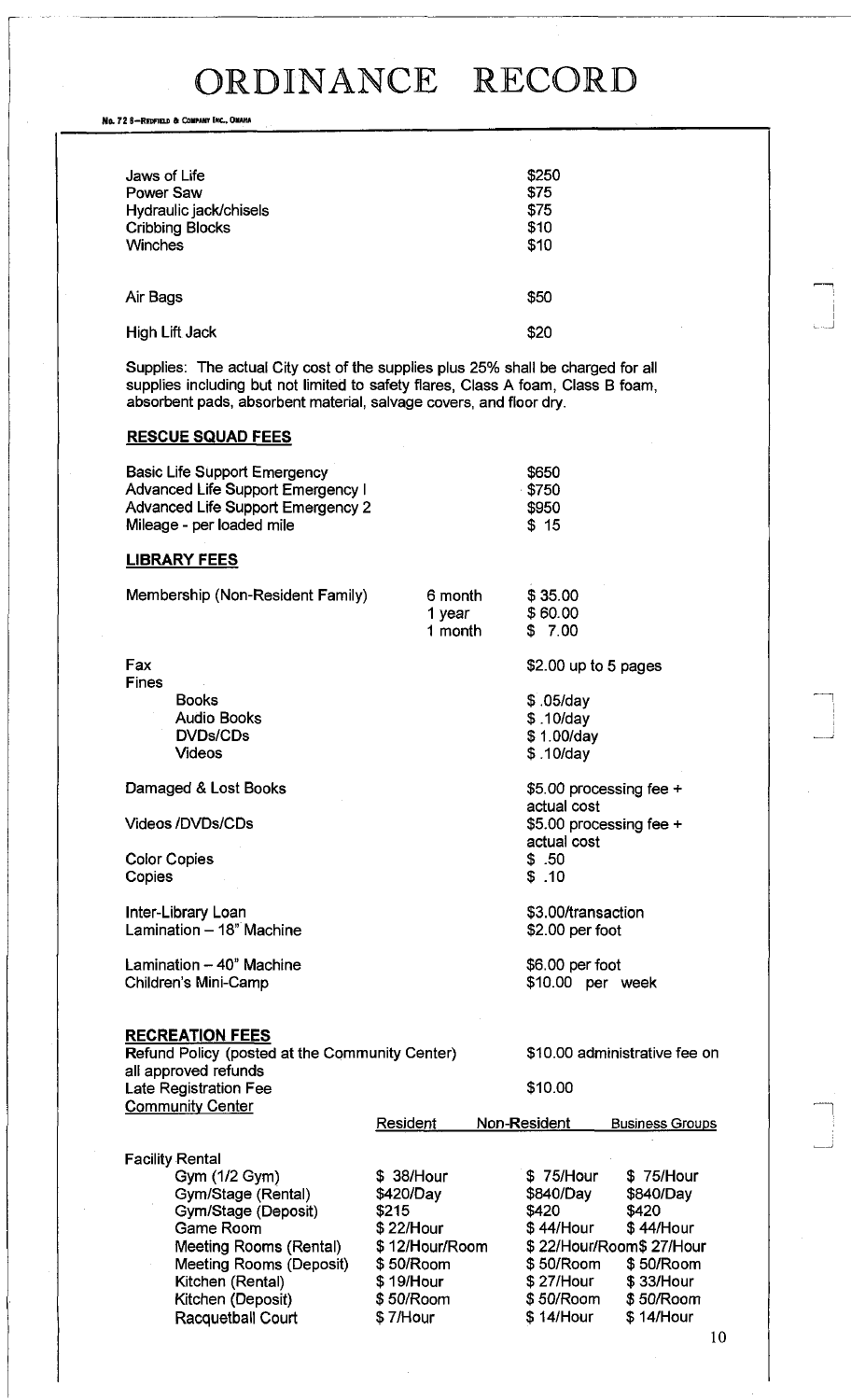No. 72 6-REDFIELD & COMPANY INC., OMAHA

| Jaws of Life<br>Power Saw<br>Hydraulic jack/chisels<br><b>Cribbing Blocks</b><br>Winches | \$250<br>\$75<br>\$75<br>\$10<br>\$10 |
|------------------------------------------------------------------------------------------|---------------------------------------|
| Air Bags                                                                                 | \$50                                  |
| High Lift Jack                                                                           | \$20                                  |

Supplies: The actual City cost of the supplies plus 25% shall be charged for all supplies including but not limited to safety flares, Class A foam, Class B foam, absorbent pads, absorbent material, salvage covers, and floor dry.

### **RESCUE SQUAD FEES**

| <b>Basic Life Support Emergency</b> | \$650 |
|-------------------------------------|-------|
| Advanced Life Support Emergency I   | \$750 |
| Advanced Life Support Emergency 2   | \$950 |
| Mileage - per loaded mile           | \$15  |

### **LIBRARY FEES**

| Membership (Non-Resident Family) | 6 month | \$35.00 |
|----------------------------------|---------|---------|
|                                  | 1 vear  | \$60.00 |
|                                  | 1 month | \$7.00  |

Fax Fines Books Audio Books DVDs/CDs

Damaged & Lost Books

Videos

Videos /DVDs/CDs

Color Copies **Copies** 

Inter-Library Loan Lamination  $-18$ " Machine

Lamination - 40" Machine Children's Mini-Camp

#### **RECREATION FEES**

| Refund Policy (posted at the Community Center) |
|------------------------------------------------|
| all approved refunds                           |
| Late Registration Fee                          |
| Community Center                               |

\$10.00 administrative fee on

\$2.00 up to 5 pages

\$5.00 processing fee +

\$5.00 processing fee +

\$ ,05/day \$ .10/day \$ 1.00/day \$. 10/day

actual cost

actual cost \$ .50 \$ .10

\$3.00/transaction \$2.00 per foot

\$6.00 per foot \$10.00 per week

\$10.00

| <b>Community Center</b> |                |              |                         |
|-------------------------|----------------|--------------|-------------------------|
|                         | Resident       | Non-Resident | <b>Business Groups</b>  |
|                         |                |              |                         |
| <b>Facility Rental</b>  |                |              |                         |
| Gym (1/2 Gym)           | \$38/Hour      | \$75/Hour    | \$75/Hour               |
| Gym/Stage (Rental)      | \$420/Day      | \$840/Day    | \$840/Day               |
| Gym/Stage (Deposit)     | \$215          | \$420        | \$420                   |
| Game Room               | \$22/Hour      | \$44/Hour    | \$44/Hour               |
| Meeting Rooms (Rental)  | \$12/Hour/Room |              | \$22/Hour/Room\$27/Hour |
| Meeting Rooms (Deposit) | \$50/Room      | \$50/Room    | \$50/Room               |
| Kitchen (Rental)        | \$19/Hour      | \$27/Hour    | \$33/Hour               |
| Kitchen (Deposit)       | \$50/Room      | \$50/Room    | \$50/Room               |
| Racquetball Court       | \$7/Hour       | \$14/Hour    | \$14/Hour               |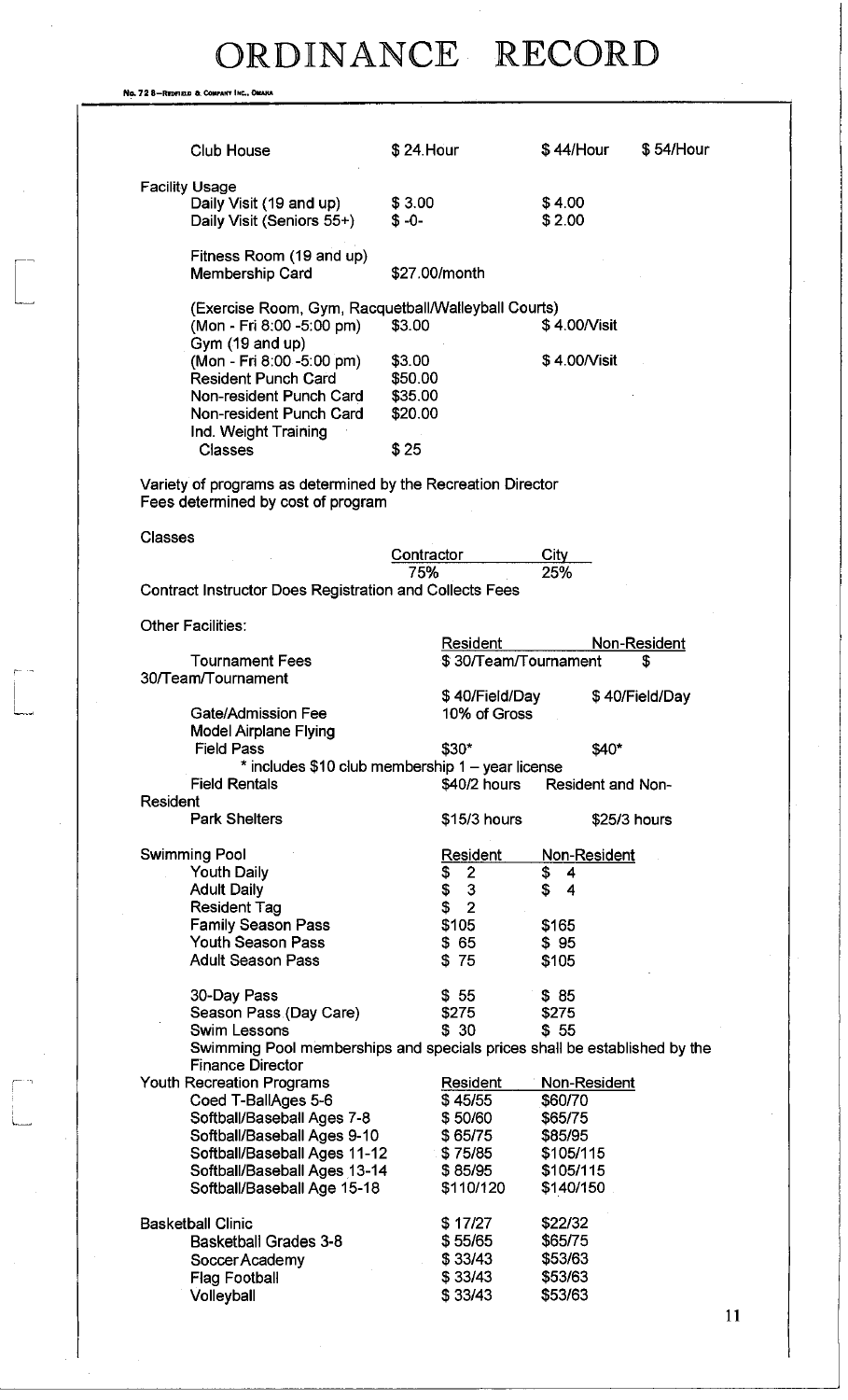No. 72 8-REDFIELD & COMPANY INC., O

| Club House                                                                                           | \$24. Hour        |                      | \$44/Hour    |                   | \$54/Hour      |
|------------------------------------------------------------------------------------------------------|-------------------|----------------------|--------------|-------------------|----------------|
|                                                                                                      |                   |                      |              |                   |                |
| <b>Facility Usage</b>                                                                                |                   |                      |              |                   |                |
| Daily Visit (19 and up)                                                                              | \$3.00            |                      | \$4.00       |                   |                |
| Daily Visit (Seniors 55+)                                                                            | $$ -0-$           |                      | \$2.00       |                   |                |
| Fitness Room (19 and up)                                                                             |                   |                      |              |                   |                |
| Membership Card                                                                                      | \$27.00/month     |                      |              |                   |                |
| (Exercise Room, Gym, Racquetball/Walleyball Courts)                                                  |                   |                      |              |                   |                |
| (Mon - Fri 8:00 -5:00 pm)                                                                            | \$3.00            |                      | \$4.00/Visit |                   |                |
| Gym (19 and up)                                                                                      |                   |                      |              |                   |                |
| (Mon - Fri 8:00 -5:00 pm)<br><b>Resident Punch Card</b>                                              | \$3.00<br>\$50.00 |                      | \$4.00/Visit |                   |                |
| Non-resident Punch Card                                                                              | \$35.00           |                      |              |                   |                |
| Non-resident Punch Card                                                                              | \$20.00           |                      |              |                   |                |
| Ind. Weight Training                                                                                 |                   |                      |              |                   |                |
| Classes                                                                                              | \$25              |                      |              |                   |                |
|                                                                                                      |                   |                      |              |                   |                |
| Variety of programs as determined by the Recreation Director<br>Fees determined by cost of program   |                   |                      |              |                   |                |
| <b>Classes</b>                                                                                       |                   |                      |              |                   |                |
|                                                                                                      | Contractor        |                      | <b>City</b>  |                   |                |
|                                                                                                      | 75%               |                      | 25%          |                   |                |
| <b>Contract Instructor Does Registration and Collects Fees</b>                                       |                   |                      |              |                   |                |
| <b>Other Facilities:</b>                                                                             |                   |                      |              |                   |                |
|                                                                                                      |                   | Resident             |              |                   | Non-Resident   |
| <b>Tournament Fees</b>                                                                               |                   | \$30/Team/Tournament |              |                   | S              |
| 30/Team/Tournament                                                                                   |                   |                      |              |                   |                |
|                                                                                                      |                   | \$40/Field/Day       |              |                   | \$40/Field/Day |
| Gate/Admission Fee                                                                                   |                   | 10% of Gross         |              |                   |                |
| <b>Model Airplane Flying</b>                                                                         |                   |                      |              |                   |                |
| <b>Field Pass</b>                                                                                    | \$30*             |                      |              | \$40*             |                |
| * includes \$10 club membership 1 - year license                                                     |                   |                      |              |                   |                |
| <b>Field Rentals</b><br><b>Resident</b>                                                              |                   | \$40/2 hours         |              | Resident and Non- |                |
| <b>Park Shelters</b>                                                                                 |                   | \$15/3 hours         |              | \$25/3 hours      |                |
| <b>Swimming Pool</b>                                                                                 |                   | <b>Resident</b>      |              | Non-Resident      |                |
| <b>Youth Daily</b>                                                                                   | \$                | $\overline{2}$       | \$<br>4      |                   |                |
| <b>Adult Daily</b>                                                                                   | \$                | $\mathbf{3}$         | \$<br>4      |                   |                |
| <b>Resident Tag</b>                                                                                  | \$                | $\overline{2}$       |              |                   |                |
| <b>Family Season Pass</b>                                                                            |                   | \$105                | \$165        |                   |                |
| <b>Youth Season Pass</b>                                                                             |                   | \$65                 | \$95         |                   |                |
| <b>Adult Season Pass</b>                                                                             | \$75              |                      | \$105        |                   |                |
| 30-Day Pass                                                                                          |                   | \$55                 | \$85         |                   |                |
| Season Pass (Day Care)                                                                               |                   | \$275                | \$275        |                   |                |
| Swim Lessons                                                                                         |                   | \$30                 | \$55         |                   |                |
| Swimming Pool memberships and specials prices shall be established by the<br><b>Finance Director</b> |                   |                      |              |                   |                |
| <b>Youth Recreation Programs</b>                                                                     |                   | Resident             |              | Non-Resident      |                |
| Coed T-BallAges 5-6                                                                                  |                   | \$45/55              | \$60/70      |                   |                |
| Softball/Baseball Ages 7-8                                                                           |                   | \$50/60              | \$65/75      |                   |                |
| Softball/Baseball Ages 9-10                                                                          |                   | \$65/75              | \$85/95      |                   |                |
| Softball/Baseball Ages 11-12                                                                         |                   | \$75/85              | \$105/115    |                   |                |
| Softball/Baseball Ages 13-14                                                                         |                   | \$85/95              | \$105/115    |                   |                |
| Softball/Baseball Age 15-18                                                                          |                   | \$110/120            | \$140/150    |                   |                |
| <b>Basketball Clinic</b>                                                                             |                   | \$17/27              | \$22/32      |                   |                |
| <b>Basketball Grades 3-8</b>                                                                         |                   | \$55/65              | \$65/75      |                   |                |
| Soccer Academy                                                                                       |                   | \$33/43              | \$53/63      |                   |                |
| <b>Flag Football</b>                                                                                 |                   | \$33/43              | \$53/63      |                   |                |
| Volleyball                                                                                           |                   | \$33/43              | \$53/63      |                   |                |
|                                                                                                      |                   |                      |              |                   |                |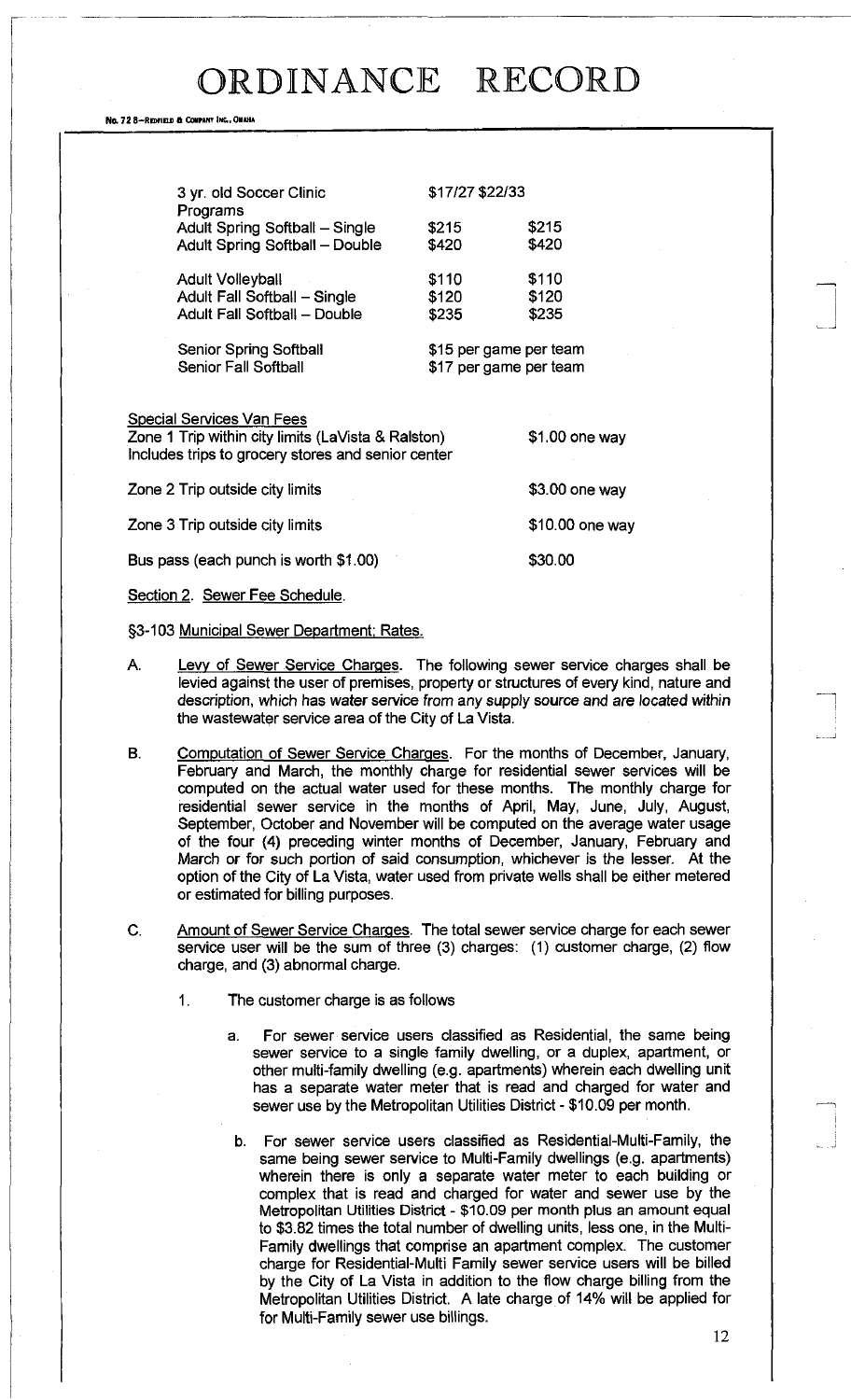#### No. 72 8-Repear & COMPANY INC., OMAHA

| 3 yr. old Soccer Clinic                                                             |                | \$17/27 \$22/33 |  |
|-------------------------------------------------------------------------------------|----------------|-----------------|--|
| Programs<br>Adult Spring Softball - Single<br><b>Adult Spring Softball - Double</b> | \$215<br>\$420 | \$215<br>\$420  |  |
| <b>Adult Volleyball</b>                                                             | \$110          | \$110           |  |
| Adult Fall Softball - Single<br><b>Adult Fall Softball - Double</b>                 | \$120<br>\$235 | \$120<br>\$235  |  |
|                                                                                     |                |                 |  |

Senior Spring Softball Senior Fall Softball

\$15 per game per team \$17 per game per team

\$1.00 one way

Special Services Van Fees

Zone 1 Trip within city limits (LaVista & Ralston) Includes trips to grocery stores and senior center

Zone 2 Trip outside city limits **\$3.00** one way Zone 3 Trip outside city limits  $$10.00$  one way Bus pass (each punch is worth \$1.00) \$30.00

Section 2. Sewer Fee Schedule.

§3-103 Municipal Sewer Department: Rates.

- A. Levy of Sewer Service Charges. The following sewer service charges shall be levied against the user of premises, property or structures of every kind, nature and description, which has water service from any supply source and are located within the wastewater service area of the City of La Vista.
- B. Computation of Sewer Service Charges. For the months of December, January, February and March, the monthly charge for residential sewer services will be computed on the actual water used for these months. The monthly charge for residential sewer service in the months of April, May, June, July, August, September, October and November will be computed on the average water usage of the four (4) preceding winter months of December, January, February and March or for such portion of said consumption, whichever is the lesser. At the option of the City of La Vista, water used from private wells shall be either metered or estimated for billing purposes.
- C. Amount of Sewer Service Charges. The total sewer service charge for each sewer service user will be the sum of three (3) charges: (1) customer charge, (2) flow charge, and (3) abnormal charge.
	- 1. The customer charge is as follows
		- a. For sewer service users classified as Residential, the same being sewer service to a single family dwelling, or a duplex, apartment, or other multi-family dwelling (e.g. apartments) wherein each dwelling unit has a separate water meter that is read and charged for water and sewer use by the Metropolitan Utilities District - \$10.09 per month.
			- b. For sewer service users classified as Residential-Multi-Family, the same being sewer service to Multi-Family dwellings (e.g. apartments) wherein there is only a separate water meter to each building or complex that is read and charged for water and sewer use by the Metropolitan Utilities District - \$10.09 per month plus an amount equal to \$3.82 times the total number of dwelling units, less one, in the Multi-Family dwellings that comprise an apartment complex. The customer charge for Residential-Multi Family sewer service users will be billed by the City of La Vista in addition to the flow charge billing from the Metropolitan Utilities District. A late charge of 14% will be applied for for Multi-Family sewer use billings.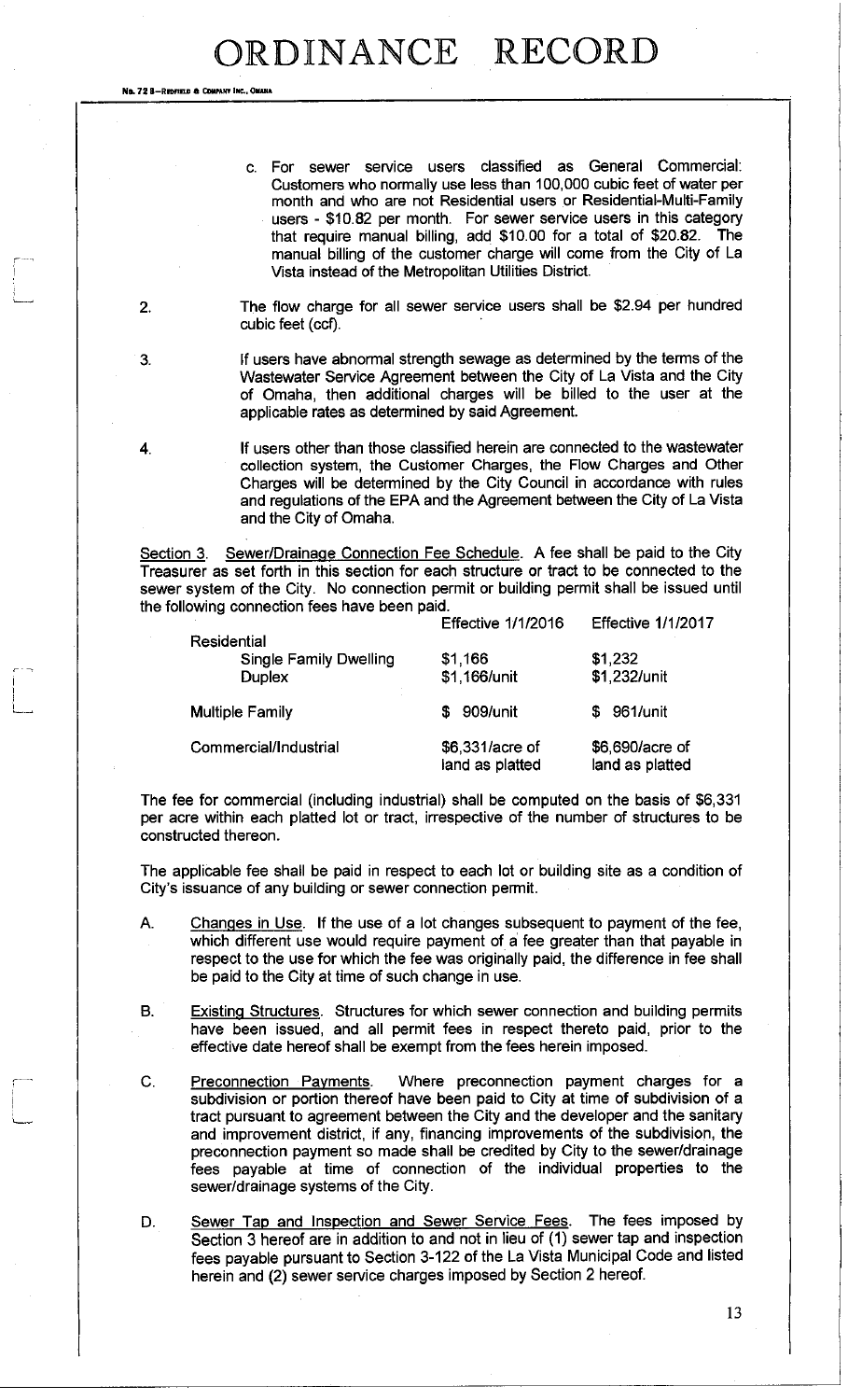No. 72 8-REDFIELD & COMPANY INC., OM

c. For sewer service users classified as General Commercial: Customers who normally use less than 100,000 cubic feet of water per month and who are not Residential users or Residential-Multi-Family users - \$10.82 per month. For sewer service users in this category that require manual billing, add \$10.00 for a total of \$20.82. The manual billing of the customer charge will come from the City of La Vista instead of the Metropolitan Utilities District.

2. The flow charge for all sewer service users shall be \$2.94 per hundred cubic feet (ccf).

3. If users have abnormal strength sewage as determined by the terms of the Wastewater Service Agreement between the City of La Vista and the City of Omaha, then additional charges will be billed to the user at the applicable rates as determined by said Agreement.

4. If users other than those classified herein are connected to the wastewater collection system, the Customer Charges, the Flow Charges and Other Charges will be determined by the City Council in accordance with rules and regulations of the EPA and the Agreement between the City of La Vista and the City of Omaha.

Section 3. Sewer/Drainage Connection Fee Schedule. A fee shall be paid to the City Treasurer as set forth in this section for each structure or tract to be connected to the sewer system of the City. No connection permit or building permit shall be issued until the following connection fees have been paid.

|                               | <b>Effective 1/1/2016</b>          | <b>Effective 1/1/2017</b>          |
|-------------------------------|------------------------------------|------------------------------------|
| Residential                   |                                    |                                    |
| <b>Single Family Dwelling</b> | \$1,166                            | \$1,232                            |
| <b>Duplex</b>                 | \$1,166/unit                       | \$1,232/unit                       |
| <b>Multiple Family</b>        | 909/unit<br>S                      | 961/unit<br>S.                     |
| Commercial/Industrial         | \$6,331/acre of<br>land as platted | \$6,690/acre of<br>land as platted |

The fee for commercial (including industrial) shall be computed on the basis of \$6,331 per acre within each platted lot or tract, irrespective of the number of structures to be constructed thereon.

The applicable fee shall be paid in respect to each lot or building site as a condition of City's issuance of any building or sewer connection permit.

- A. Changes in Use. If the use of a lot changes subsequent to payment of the fee, which different use would require payment of a fee greater than that payable in respect to the use for which the fee was originally paid, the difference in fee shall be paid to the City at time of such change in use.
- B. Existing Structures. Structures for which sewer connection and building permits have been issued, and all permit fees in respect thereto paid, prior to the effective date hereof shall be exempt from the fees herein imposed.
- C. Preconnection Payments. Where preconnection payment charges for a subdivision or portion thereof have been paid to City at time of subdivision of a tract pursuant to agreement between the City and the developer and the sanitary and improvement district, if any, financing improvements of the subdivision, the preconnection payment so made shall be credited by City to the sewer/drainage fees payable at time of connection of the individual properties to the sewer/drainage systems of the City.
- D. Sewer Tap and Inspection and Sewer Service Fees. The fees imposed by Section 3 hereof are in addition to and not in lieu of (1) sewer tap and inspection fees payable pursuant to Section 3-122 of the La Vista Municipal Code and listed herein and (2) sewer service charges imposed by Section 2 hereof.